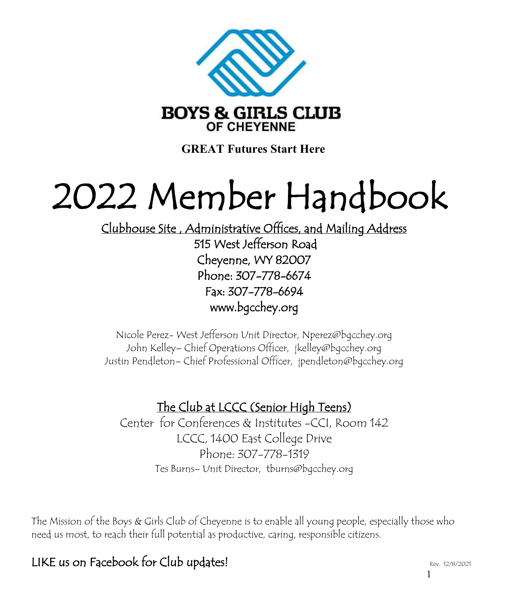

**GREAT Futures Start Here**

# 2022 Member Handbook

Clubhouse Site , Administrative Offices, and Mailing Address 515 West Jefferson Road Cheyenne, WY 82007 Phone: 307-778-6674 Fax: 307-778-6694 www.bgcchey.org

Nicole Perez- West Jefferson Unit Director, Nperez@bgcchey.org John Kelley– Chief Operations Officer, jkelley@bgcchey.org Justin Pendleton– Chief Professional Officer, jpendleton@bgcchey.org

# The Club at LCCC (Senior High Teens)

Center for Conferences & Institutes -CCI, Room 142 LCCC, 1400 East College Drive Phone: 307-778-1319 Tes Burns– Unit Director, tburns@bgcchey.org

The Mission of the Boys & Girls Club of Cheyenne is to enable all young people, especially those who need us most, to reach their full potential as productive, caring, responsible citizens.

# LIKE us on Facebook for Club updates!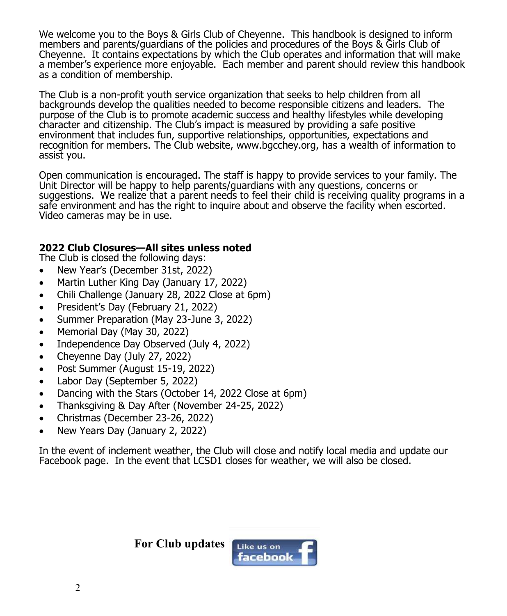We welcome you to the Boys & Girls Club of Cheyenne. This handbook is designed to inform members and parents/guardians of the policies and procedures of the Boys & Girls Club of Cheyenne. It contains expectations by which the Club operates and information that will make a member's experience more enjoyable. Each member and parent should review this handbook as a condition of membership.

The Club is a non-profit youth service organization that seeks to help children from all backgrounds develop the qualities needed to become responsible citizens and leaders. The purpose of the Club is to promote academic success and healthy lifestyles while developing character and citizenship. The Club's impact is measured by providing a safe positive environment that includes fun, supportive relationships, opportunities, expectations and recognition for members. The Club website, www.bgcchey.org, has a wealth of information to assist you.

Open communication is encouraged. The staff is happy to provide services to your family. The Unit Director will be happy to help parents/guardians with any questions, concerns or suggestions. We realize that a parent needs to feel their child is receiving quality programs in a safe environment and has the right to inquire about and observe the facility when escorted. Video cameras may be in use.

## **2022 Club Closures—All sites unless noted**

The Club is closed the following days:

- New Year's (December 31st, 2022)
- Martin Luther King Day (January 17, 2022)
- Chili Challenge (January 28, 2022 Close at 6pm)
- President's Day (February 21, 2022)
- Summer Preparation (May 23-June 3, 2022)
- Memorial Day (May 30, 2022)
- Independence Day Observed (July 4, 2022)
- Cheyenne Day (July 27, 2022)
- Post Summer (August 15-19, 2022)
- Labor Day (September 5, 2022)
- Dancing with the Stars (October 14, 2022 Close at 6pm)
- Thanksgiving & Day After (November 24-25, 2022)
- Christmas (December 23-26, 2022)
- New Years Day (January 2, 2022)

In the event of inclement weather, the Club will close and notify local media and update our Facebook page. In the event that LCSD1 closes for weather, we will also be closed.

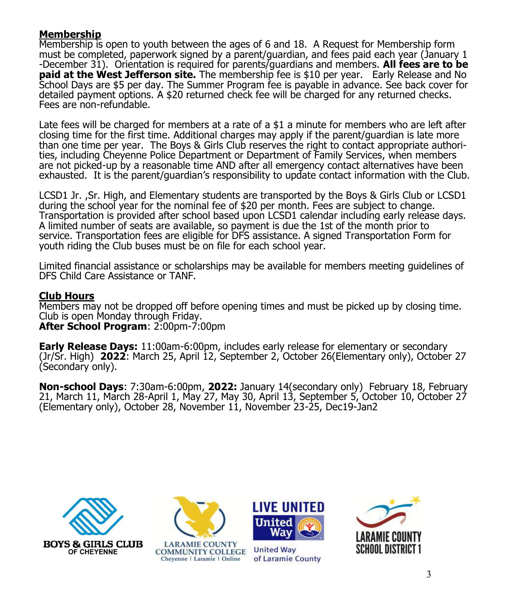## **Membership**

Membership is open to youth between the ages of 6 and 18. A Request for Membership form must be completed, paperwork signed by a parent/guardian, and fees paid each year (January 1 -December 31). Orientation is required for parents/guardians and members. **All fees are to be paid at the West Jefferson site.** The membership fee is \$10 per year. Early Release and No School Days are \$5 per day. The Summer Program fee is payable in advance. See back cover for detailed payment options. A \$20 returned check fee will be charged for any returned checks. Fees are non-refundable.

Late fees will be charged for members at a rate of a \$1 a minute for members who are left after closing time for the first time. Additional charges may apply if the parent/guardian is late more than one time per year. The Boys & Girls Club reserves the right to contact appropriate authorities, including Cheyenne Police Department or Department of Family Services, when members are not picked-up by a reasonable time AND after all emergency contact alternatives have been exhausted. It is the parent/guardian's responsibility to update contact information with the Club.

LCSD1 Jr. ,Sr. High, and Elementary students are transported by the Boys & Girls Club or LCSD1 during the school year for the nominal fee of \$20 per month. Fees are subject to change. Transportation is provided after school based upon LCSD1 calendar including early release days. A limited number of seats are available, so payment is due the 1st of the month prior to service. Transportation fees are eligible for DFS assistance. A signed Transportation Form for youth riding the Club buses must be on file for each school year.

Limited financial assistance or scholarships may be available for members meeting guidelines of DFS Child Care Assistance or TANF.

## **Club Hours**

Members may not be dropped off before opening times and must be picked up by closing time. Club is open Monday through Friday. **After School Program**: 2:00pm-7:00pm

**Early Release Days:** 11:00am-6:00pm, includes early release for elementary or secondary (Jr/Sr. High) **2022**: March 25, April 12, September 2, October 26(Elementary only), October 27 (Secondary only).

**Non-school Days**: 7:30am-6:00pm, **2022:** January 14(secondary only) February 18, February 21, March 11, March 28-April 1, May 27, May 30, April 13, September 5, October 10, October 27 (Elementary only), October 28, November 11, November 23-25, Dec19-Jan2





**LARAMIE COUNTY COMMUNITY COLLEGE** Chevenne | Laramie | Online



**United Way** of Laramie County

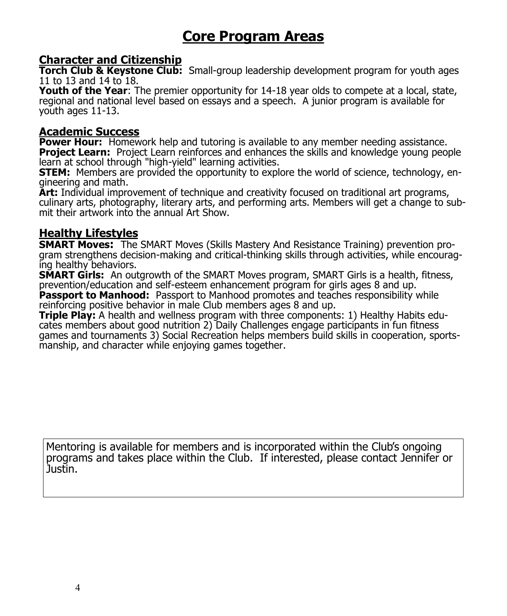# **Core Program Areas**

# **Character and Citizenship**

**Torch Club & Keystone Club:** Small-group leadership development program for youth ages 11 to 13 and 14 to 18.

**Youth of the Year**: The premier opportunity for 14-18 year olds to compete at a local, state, regional and national level based on essays and a speech. A junior program is available for youth ages 11-13.

# **Academic Success**

**Power Hour:** Homework help and tutoring is available to any member needing assistance. **Project Learn:** Project Learn reinforces and enhances the skills and knowledge young people learn at school through "high-yield" learning activities.

**STEM:** Members are provided the opportunity to explore the world of science, technology, engineering and math.

**Art:** Individual improvement of technique and creativity focused on traditional art programs, culinary arts, photography, literary arts, and performing arts. Members will get a change to submit their artwork into the annual Art Show.

# **Healthy Lifestyles**

**SMART Moves:** The SMART Moves (Skills Mastery And Resistance Training) prevention program strengthens decision-making and critical-thinking skills through activities, while encouraging healthy behaviors.

**SMART Girls:** An outgrowth of the SMART Moves program, SMART Girls is a health, fitness, prevention/education and self-esteem enhancement program for girls ages 8 and up.

**Passport to Manhood:** Passport to Manhood promotes and teaches responsibility while reinforcing positive behavior in male Club members ages 8 and up.

**Triple Play:** A health and wellness program with three components: 1) Healthy Habits educates members about good nutrition 2) Daily Challenges engage participants in fun fitness games and tournaments 3) Social Recreation helps members build skills in cooperation, sportsmanship, and character while enjoying games together.

Mentoring is available for members and is incorporated within the Club's ongoing programs and takes place within the Club. If interested, please contact Jennifer or Justin.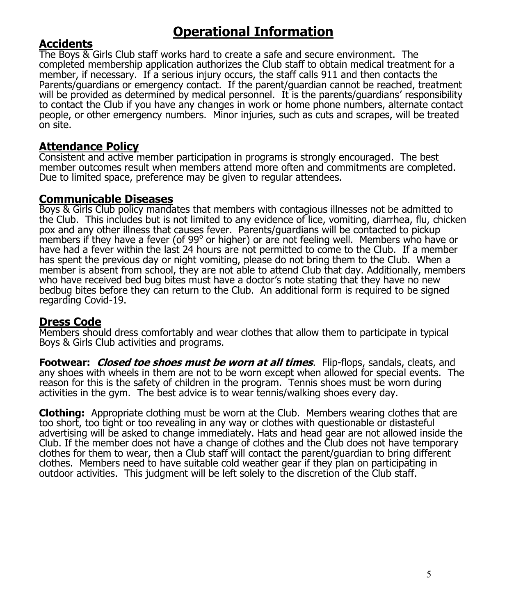# **Operational Information**

# **Accidents**

The Boys & Girls Club staff works hard to create a safe and secure environment. The completed membership application authorizes the Club staff to obtain medical treatment for a member, if necessary. If a serious injury occurs, the staff calls 911 and then contacts the Parents/guardians or emergency contact. If the parent/guardian cannot be reached, treatment will be provided as determined by medical personnel. It is the parents/guardians' responsibility to contact the Club if you have any changes in work or home phone numbers, alternate contact people, or other emergency numbers. Minor injuries, such as cuts and scrapes, will be treated on site.

# **Attendance Policy**

Consistent and active member participation in programs is strongly encouraged. The best member outcomes result when members attend more often and commitments are completed. Due to limited space, preference may be given to regular attendees.

## **Communicable Diseases**

Boys & Girls Club policy mandates that members with contagious illnesses not be admitted to the Club. This includes but is not limited to any evidence of lice, vomiting, diarrhea, flu, chicken pox and any other illness that causes fever. Parents/guardians will be contacted to pickup members if they have a fever (of 99° or higher) or are not feeling well. Members who have or have had a fever within the last 24 hours are not permitted to come to the Club. If a member has spent the previous day or night vomiting, please do not bring them to the Club. When a member is absent from school, they are not able to attend Club that day. Additionally, members who have received bed bug bites must have a doctor's note stating that they have no new bedbug bites before they can return to the Club. An additional form is required to be signed regarding Covid-19.

#### **Dress Code**

Members should dress comfortably and wear clothes that allow them to participate in typical Boys & Girls Club activities and programs.

**Footwear: Closed toe shoes must be worn at all times**. Flip-flops, sandals, cleats, and any shoes with wheels in them are not to be worn except when allowed for special events. The reason for this is the safety of children in the program. Tennis shoes must be worn during activities in the gym. The best advice is to wear tennis/walking shoes every day.

**Clothing:** Appropriate clothing must be worn at the Club. Members wearing clothes that are too short, too tight or too revealing in any way or clothes with questionable or distasteful advertising will be asked to change immediately. Hats and head gear are not allowed inside the Club. If the member does not have a change of clothes and the Club does not have temporary clothes for them to wear, then a Club staff will contact the parent/guardian to bring different clothes. Members need to have suitable cold weather gear if they plan on participating in outdoor activities. This judgment will be left solely to the discretion of the Club staff.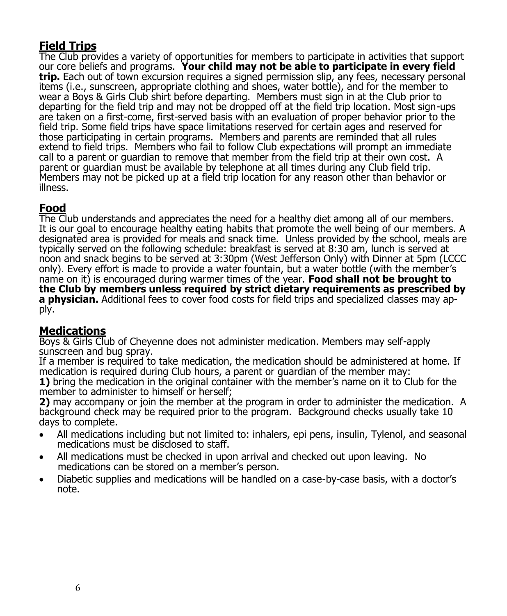# **Field Trips**

The Club provides a variety of opportunities for members to participate in activities that support our core beliefs and programs. **Your child may not be able to participate in every field trip.** Each out of town excursion requires a signed permission slip, any fees, necessary personal items (i.e., sunscreen, appropriate clothing and shoes, water bottle), and for the member to wear a Boys & Girls Club shirt before departing. Members must sign in at the Club prior to departing for the field trip and may not be dropped off at the field trip location. Most sign-ups are taken on a first-come, first-served basis with an evaluation of proper behavior prior to the field trip. Some field trips have space limitations reserved for certain ages and reserved for those participating in certain programs. Members and parents are reminded that all rules extend to field trips. Members who fail to follow Club expectations will prompt an immediate call to a parent or guardian to remove that member from the field trip at their own cost. A parent or guardian must be available by telephone at all times during any Club field trip. Members may not be picked up at a field trip location for any reason other than behavior or illness.

# **Food**

The Club understands and appreciates the need for a healthy diet among all of our members. It is our goal to encourage healthy eating habits that promote the well being of our members. A designated area is provided for meals and snack time. Unless provided by the school, meals are typically served on the following schedule: breakfast is served at 8:30 am, lunch is served at noon and snack begins to be served at 3:30pm (West Jefferson Only) with Dinner at 5pm (LCCC only). Every effort is made to provide a water fountain, but a water bottle (with the member's name on it) is encouraged during warmer times of the year. **Food shall not be brought to the Club by members unless required by strict dietary requirements as prescribed by a physician.** Additional fees to cover food costs for field trips and specialized classes may apply.

# **Medications**

Boys & Girls Club of Cheyenne does not administer medication. Members may self-apply sunscreen and bug spray.

If a member is required to take medication, the medication should be administered at home. If medication is required during Club hours, a parent or guardian of the member may: **1)** bring the medication in the original container with the member's name on it to Club for the member to administer to himself or herself;

**2)** may accompany or join the member at the program in order to administer the medication. A background check may be required prior to the program. Background checks usually take 10 days to complete.

- All medications including but not limited to: inhalers, epi pens, insulin, Tylenol, and seasonal medications must be disclosed to staff.
- All medications must be checked in upon arrival and checked out upon leaving. No medications can be stored on a member's person.
- Diabetic supplies and medications will be handled on a case-by-case basis, with a doctor's note.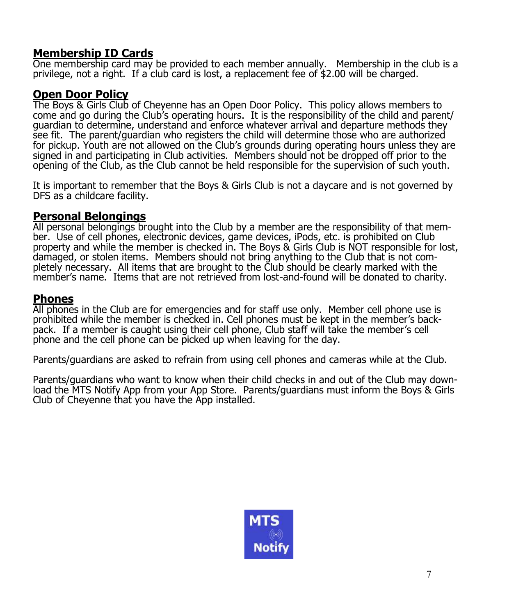# **Membership ID Cards**

One membership card may be provided to each member annually. Membership in the club is a privilege, not a right. If a club card is lost, a replacement fee of \$2.00 will be charged.

# **Open Door Policy**

The Boys & Girls Club of Cheyenne has an Open Door Policy. This policy allows members to come and go during the Club's operating hours. It is the responsibility of the child and parent/ guardian to determine, understand and enforce whatever arrival and departure methods they see fit. The parent/guardian who registers the child will determine those who are authorized for pickup. Youth are not allowed on the Club's grounds during operating hours unless they are signed in and participating in Club activities. Members should not be dropped off prior to the opening of the Club, as the Club cannot be held responsible for the supervision of such youth.

It is important to remember that the Boys & Girls Club is not a daycare and is not governed by DFS as a childcare facility.

# **Personal Belongings**

All personal belongings brought into the Club by a member are the responsibility of that member. Use of cell phones, electronic devices, game devices, iPods, etc. is prohibited on Club property and while the member is checked in. The Boys & Girls Club is NOT responsible for lost, damaged, or stolen items. Members should not bring anything to the Club that is not completely necessary. All items that are brought to the Club should be clearly marked with the member's name. Items that are not retrieved from lost-and-found will be donated to charity.

## **Phones**

All phones in the Club are for emergencies and for staff use only. Member cell phone use is prohibited while the member is checked in. Cell phones must be kept in the member's backpack. If a member is caught using their cell phone, Club staff will take the member's cell phone and the cell phone can be picked up when leaving for the day.

Parents/guardians are asked to refrain from using cell phones and cameras while at the Club.

Parents/guardians who want to know when their child checks in and out of the Club may download the MTS Notify App from your App Store. Parents/quardians must inform the Boys & Girls Club of Cheyenne that you have the App installed.

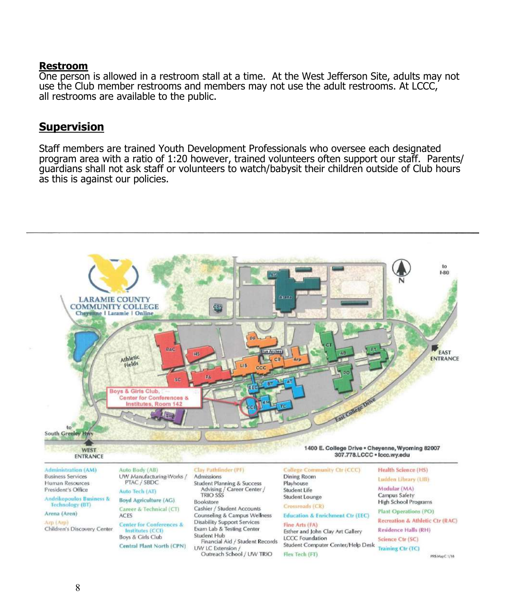#### **Restroom**

One person is allowed in a restroom stall at a time. At the West Jefferson Site, adults may not use the Club member restrooms and members may not use the adult restrooms. At LCCC, all restrooms are available to the public.

## **Supervision**

Staff members are trained Youth Development Professionals who oversee each designated program area with a ratio of 1:20 however, trained volunteers often support our staff. Parents/ guardians shall not ask staff or volunteers to watch/babysit their children outside of Club hours as this is against our policies.



Andrikopoulos Business &<br>Technology (BT)

#### Arena (Aren) Arn (Arn)

Children's Discovery Center

Career & Technical (CT)

**ACES Center for Conferences &** Institutes (CCI) Boys & Cirls Club

Central Plant North (CPN)

Bookstore Cashier / Student Accounts Counseling & Campus Wellness Disability Support Services Exam Lab & Testing Center Student Hub Financial Aid / Student Records UW LC Extension / Outreach School / UW TRIO

#### Crossroads (CR) **Education & Enrichment Ctr (EEC)**

Fine Arts (FA) Esther and John Clay Art Gallery **LCCC Foundation** Student Computer Center/Help Desk Flex Tech (FT)

High School Programs

**Plant Operations (PO)** 

Recreation & Athletic Ctr (RAC) **Residence Halls (RH)** 

Science Ctr (SC)

Training Ctr (TC)

PRS MapC 1/18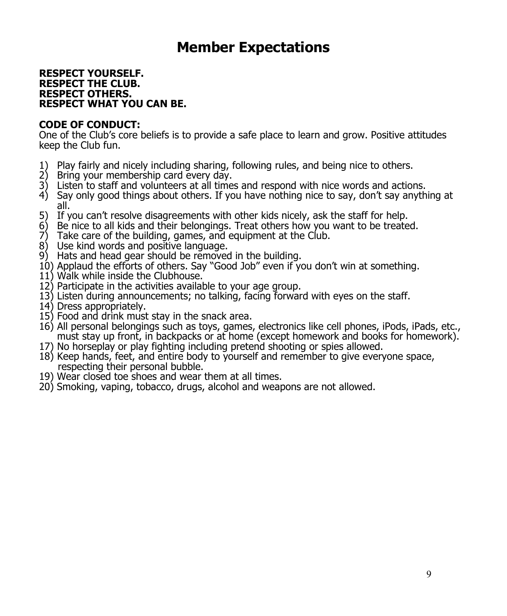# **Member Expectations**

#### **RESPECT YOURSELF. RESPECT THE CLUB. RESPECT OTHERS. RESPECT WHAT YOU CAN BE.**

## **CODE OF CONDUCT:**

One of the Club's core beliefs is to provide a safe place to learn and grow. Positive attitudes keep the Club fun.

- 1) Play fairly and nicely including sharing, following rules, and being nice to others.
- Bring your membership card every day.
- 3) Listen to staff and volunteers at all times and respond with nice words and actions.
- 4) Say only good things about others. If you have nothing nice to say, don't say anything at all.
- 5) If you can't resolve disagreements with other kids nicely, ask the staff for help.
- 6) Be nice to all kids and their belongings. Treat others how you want to be treated.<br>
7) Take care of the building, games, and equipment at the Club.
- Take care of the building, games, and equipment at the Club.
- 8) Use kind words and positive language.
- 9) Hats and head gear should be removed in the building.
- 10) Applaud the efforts of others. Say "Good Job" even if you don't win at something.
- 11) Walk while inside the Clubhouse.
- 12) Participate in the activities available to your age group.
- 13) Listen during announcements; no talking, facing forward with eyes on the staff.
- 14) Dress appropriately.
- 15) Food and drink must stay in the snack area.
- 16) All personal belongings such as toys, games, electronics like cell phones, iPods, iPads, etc., must stay up front, in backpacks or at home (except homework and books for homework).
- 17) No horseplay or play fighting including pretend shooting or spies allowed.
- 18) Keep hands, feet, and entire body to yourself and remember to give everyone space, respecting their personal bubble.
- 19) Wear closed toe shoes and wear them at all times.
- 20) Smoking, vaping, tobacco, drugs, alcohol and weapons are not allowed.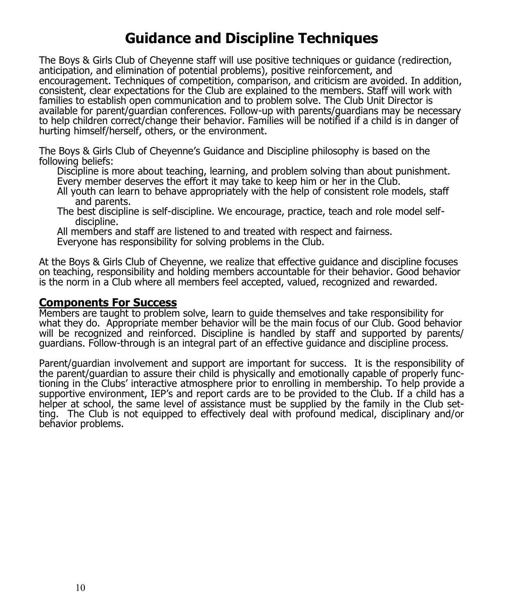# **Guidance and Discipline Techniques**

The Boys & Girls Club of Cheyenne staff will use positive techniques or guidance (redirection, anticipation, and elimination of potential problems), positive reinforcement, and encouragement. Techniques of competition, comparison, and criticism are avoided. In addition, consistent, clear expectations for the Club are explained to the members. Staff will work with families to establish open communication and to problem solve. The Club Unit Director is available for parent/guardian conferences. Follow-up with parents/guardians may be necessary to help children correct/change their behavior. Families will be notified if a child is in danger of hurting himself/herself, others, or the environment.

The Boys & Girls Club of Cheyenne's Guidance and Discipline philosophy is based on the following beliefs:

Discipline is more about teaching, learning, and problem solving than about punishment. Every member deserves the effort it may take to keep him or her in the Club.

All youth can learn to behave appropriately with the help of consistent role models, staff and parents.

The best discipline is self-discipline. We encourage, practice, teach and role model selfdiscipline.

All members and staff are listened to and treated with respect and fairness.

Everyone has responsibility for solving problems in the Club.

At the Boys & Girls Club of Cheyenne, we realize that effective guidance and discipline focuses on teaching, responsibility and holding members accountable for their behavior. Good behavior is the norm in a Club where all members feel accepted, valued, recognized and rewarded.

# **Components For Success**

Members are taught to problem solve, learn to guide themselves and take responsibility for what they do. Appropriate member behavior will be the main focus of our Club. Good behavior will be recognized and reinforced. Discipline is handled by staff and supported by parents/ guardians. Follow-through is an integral part of an effective guidance and discipline process.

Parent/guardian involvement and support are important for success. It is the responsibility of the parent/guardian to assure their child is physically and emotionally capable of properly functioning in the Clubs' interactive atmosphere prior to enrolling in membership. To help provide a supportive environment, IEP's and report cards are to be provided to the Club. If a child has a helper at school, the same level of assistance must be supplied by the family in the Club setting. The Club is not equipped to effectively deal with profound medical, disciplinary and/or behavior problems.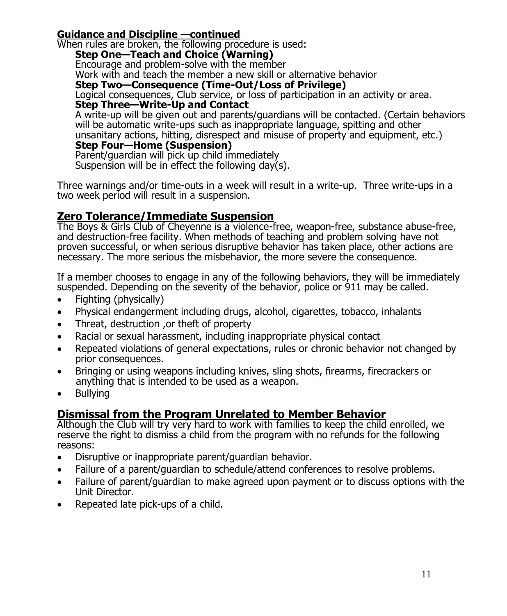# **Guidance and Discipline —continued**

When rules are broken, the following procedure is used: **Step One—Teach and Choice (Warning)** Encourage and problem-solve with the member Work with and teach the member a new skill or alternative behavior **Step Two—Consequence (Time-Out/Loss of Privilege)** Logical consequences, Club service, or loss of participation in an activity or area. **Step Three—Write-Up and Contact** A write-up will be given out and parents/guardians will be contacted. (Certain behaviors will be automatic write-ups such as inappropriate language, spitting and other unsanitary actions, hitting, disrespect and misuse of property and equipment, etc.) **Step Four—Home (Suspension)** Parent/guardian will pick up child immediately Suspension will be in effect the following day(s).

Three warnings and/or time-outs in a week will result in a write-up. Three write-ups in a two week period will result in a suspension.

# **Zero Tolerance/Immediate Suspension**

The Boys & Girls Club of Cheyenne is a violence-free, weapon-free, substance abuse-free, and destruction-free facility. When methods of teaching and problem solving have not proven successful, or when serious disruptive behavior has taken place, other actions are necessary. The more serious the misbehavior, the more severe the consequence.

If a member chooses to engage in any of the following behaviors, they will be immediately suspended. Depending on the severity of the behavior, police or 911 may be called.

- Fighting (physically)
- Physical endangerment including drugs, alcohol, cigarettes, tobacco, inhalants
- Threat, destruction ,or theft of property
- Racial or sexual harassment, including inappropriate physical contact
- Repeated violations of general expectations, rules or chronic behavior not changed by prior consequences.
- Bringing or using weapons including knives, sling shots, firearms, firecrackers or anything that is intended to be used as a weapon.
- Bullying

# **Dismissal from the Program Unrelated to Member Behavior**

Although the Club will try very hard to work with families to keep the child enrolled, we reserve the right to dismiss a child from the program with no refunds for the following reasons:

- Disruptive or inappropriate parent/guardian behavior.
- Failure of a parent/guardian to schedule/attend conferences to resolve problems.
- Failure of parent/guardian to make agreed upon payment or to discuss options with the Unit Director.
- Repeated late pick-ups of a child.